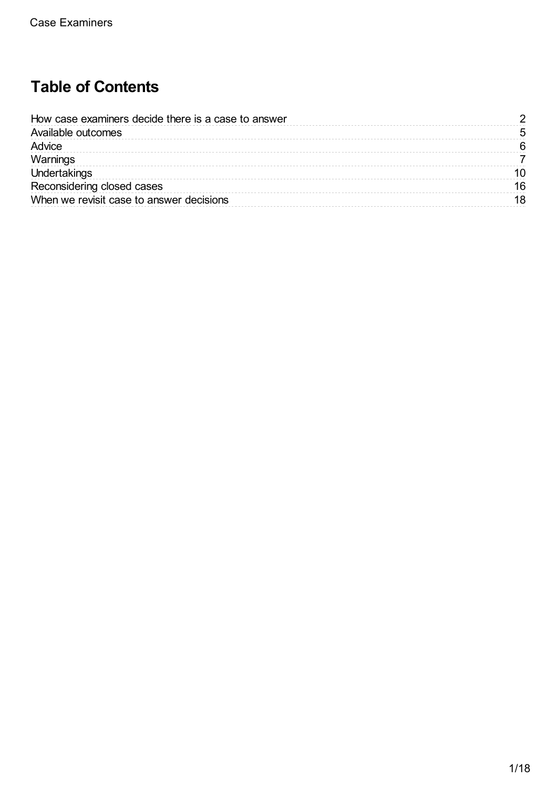# **Table of Contents**

| How case examiners decide there is a case to answer |    |
|-----------------------------------------------------|----|
| Available outcomes                                  |    |
| Advice                                              |    |
| Warnings                                            |    |
| Undertakings                                        |    |
| Reconsidering closed cases                          | 16 |
| When we revisit case to answer decisions            |    |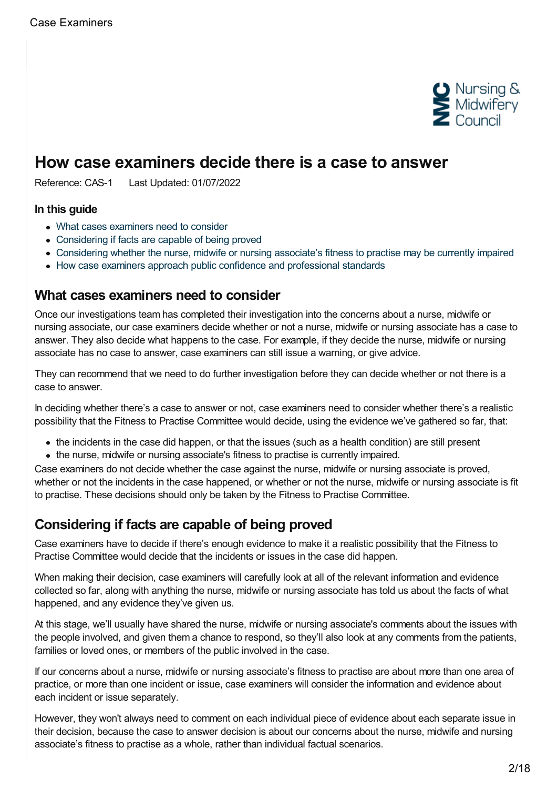

## <span id="page-1-0"></span>**How case examiners decide there is a case to answer**

Reference: CAS-1 Last Updated: 01/07/2022

#### **In this guide**

- What cases [examiners](#page-1-1) need to consider
- [Considering](#page-1-2) if facts are capable of being proved
- [Considering](#page-2-0) whether the nurse, midwife or nursing associate's fitness to practise may be currently impaired
- How case examiners approach public confidence and [professional](#page-3-0) standards

### <span id="page-1-1"></span>**What cases examiners need to consider**

Once our investigations team has completed their investigation into the concerns about a nurse, midwife or nursing associate, our case examiners decide whether or not a nurse, midwife or nursing associate has a case to answer. They also decide what happens to the case. For example, if they decide the nurse, midwife or nursing associate has no case to answer, case examiners can still issue a warning, or give advice.

They can recommend that we need to do further investigation before they can decide whether or not there is a case to answer.

In deciding whether there's a case to answer or not, case examiners need to consider whether there's a realistic possibility that the Fitness to Practise Committee would decide, using the evidence we've gathered so far, that:

- the incidents in the case did happen, or that the issues (such as a health condition) are still present
- the nurse, midwife or nursing associate's fitness to practise is currently impaired.

Case examiners do not decide whether the case against the nurse, midwife or nursing associate is proved, whether or not the incidents in the case happened, or whether or not the nurse, midwife or nursing associate is fit to practise. These decisions should only be taken by the Fitness to Practise Committee.

### <span id="page-1-2"></span>**Considering if facts are capable of being proved**

Case examiners have to decide if there's enough evidence to make it a realistic possibility that the Fitness to Practise Committee would decide that the incidents or issues in the case did happen.

When making their decision, case examiners will carefully look at all of the relevant information and evidence collected so far, along with anything the nurse, midwife or nursing associate has told us about the facts of what happened, and any evidence they've given us.

At this stage, we'll usually have shared the nurse, midwife or nursing associate's comments about the issues with the people involved, and given them a chance to respond, so they'll also look at any comments from the patients, families or loved ones, or members of the public involved in the case.

If our concerns about a nurse, midwife or nursing associate's fitness to practise are about more than one area of practice, or more than one incident or issue, case examiners will consider the information and evidence about each incident or issue separately.

However, they won't always need to comment on each individual piece of evidence about each separate issue in their decision, because the case to answer decision is about our concerns about the nurse, midwife and nursing associate's fitness to practise as a whole, rather than individual factual scenarios.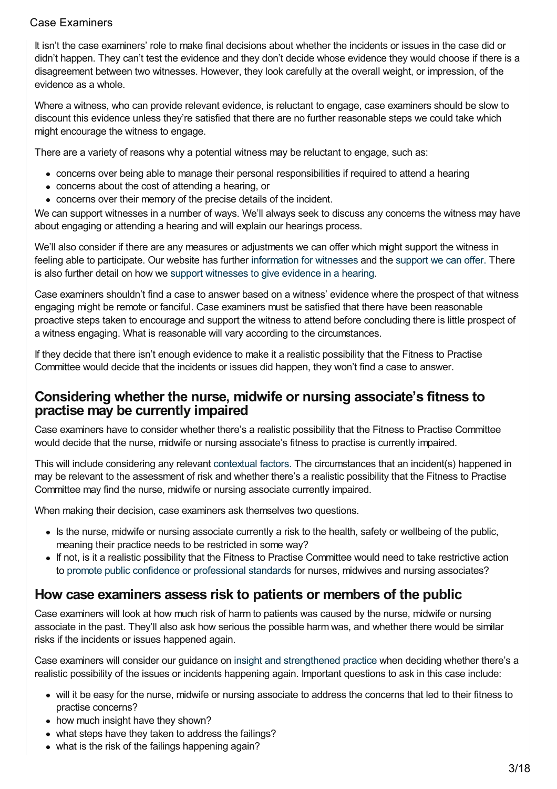It isn't the case examiners' role to make final decisions about whether the incidents or issues in the case did or didn't happen. They can't test the evidence and they don't decide whose evidence they would choose if there is a disagreement between two witnesses. However, they look carefully at the overall weight, or impression, of the evidence as a whole.

Where a witness, who can provide relevant evidence, is reluctant to engage, case examiners should be slow to discount this evidence unless they're satisfied that there are no further reasonable steps we could take which might encourage the witness to engage.

There are a variety of reasons why a potential witness may be reluctant to engage, such as:

- concerns over being able to manage their personal responsibilities if required to attend a hearing
- concerns about the cost of attending a hearing, or
- concerns over their memory of the precise details of the incident.

We can support witnesses in a number of ways. We'll always seek to discuss any concerns the witness may have about engaging or attending a hearing and will explain our hearings process.

We'll also consider if there are any measures or adjustments we can offer which might support the witness in feeling able to participate. Our website has further [information](https://www.nmc.org.uk/concerns-nurses-midwives/information-for-witnesses/) for witnesses and the [support](https://www.nmc.org.uk/concerns-nurses-midwives/information-for-witnesses/support-for-witnesses/) we can offer. There is also further detail on how we support [witnesses](https://www.nmc.org.uk/ftp-library/case-management/supporting-people-to-give-evidence-in-hearings/) to give evidence in a hearing.

Case examiners shouldn't find a case to answer based on a witness' evidence where the prospect of that witness engaging might be remote or fanciful. Case examiners must be satisfied that there have been reasonable proactive steps taken to encourage and support the witness to attend before concluding there is little prospect of a witness engaging. What is reasonable will vary according to the circumstances.

If they decide that there isn't enough evidence to make it a realistic possibility that the Fitness to Practise Committee would decide that the incidents or issues did happen, they won't find a case to answer.

### <span id="page-2-0"></span>**Considering whether the nurse, midwife or nursing associate's fitness to practise may be currently impaired**

Case examiners have to consider whether there's a realistic possibility that the Fitness to Practise Committee would decide that the nurse, midwife or nursing associate's fitness to practise is currently impaired.

This will include considering any relevant [contextual](https://www.nmc.org.uk/ftp-library/understanding-fitness-to-practise/taking-account-of-context/) factors. The circumstances that an incident(s) happened in may be relevant to the assessment of risk and whether there's a realistic possibility that the Fitness to Practise Committee may find the nurse, midwife or nursing associate currently impaired.

When making their decision, case examiners ask themselves two questions.

- Is the nurse, midwife or nursing associate currently a risk to the health, safety or wellbeing of the public, meaning their practice needs to be restricted in some way?
- If not, is it a realistic possibility that the Fitness to Practise Committee would need to take restrictive action to promote public confidence or [professional](https://www.nmc.org.uk/ftp-library/understanding-fitness-to-practise/using-fitness-to-practise/) standards for nurses, midwives and nursing associates?

## **How case examiners assess risk to patients or members of the public**

Case examiners will look at how much risk of harm to patients was caused by the nurse, midwife or nursing associate in the past. They'll also ask how serious the possible harm was, and whether there would be similar risks if the incidents or issues happened again.

Case examiners will consider our guidance on insight and [strengthened](https://www.nmc.org.uk/ftp-library/understanding-fitness-to-practise/insight-and-strengthened-practice/) practice when deciding whether there's a realistic possibility of the issues or incidents happening again. Important questions to ask in this case include:

- will it be easy for the nurse, midwife or nursing associate to address the concerns that led to their fitness to practise concerns?
- how much insight have they shown?
- what steps have they taken to address the failings?
- what is the risk of the failings happening again?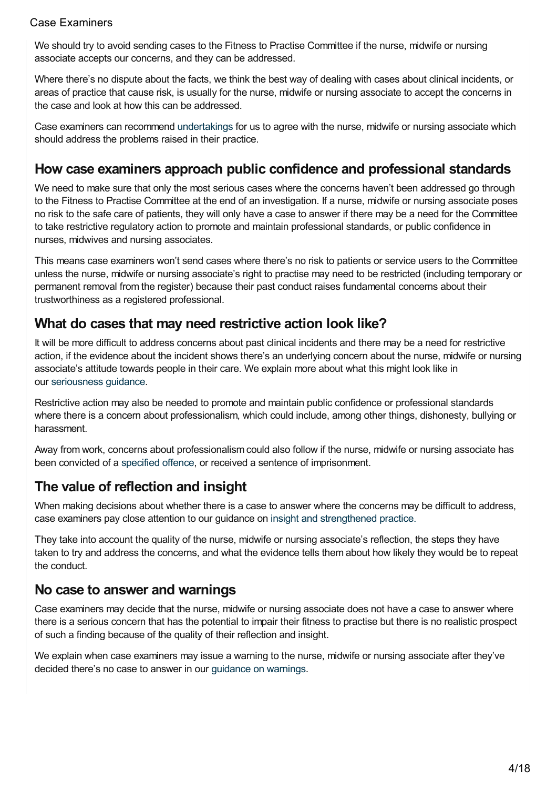We should try to avoid sending cases to the Fitness to Practise Committee if the nurse, midwife or nursing associate accepts our concerns, and they can be addressed.

Where there's no dispute about the facts, we think the best way of dealing with cases about clinical incidents, or areas of practice that cause risk, is usually for the nurse, midwife or nursing associate to accept the concerns in the case and look at how this can be addressed.

Case examiners can recommend [undertakings](https://www.nmc.org.uk/ftp-library/case-examiners/available-outcomes/undertakings/) for us to agree with the nurse, midwife or nursing associate which should address the problems raised in their practice.

## <span id="page-3-0"></span>**How case examiners approach public confidence and professional standards**

We need to make sure that only the most serious cases where the concerns haven't been addressed go through to the Fitness to Practise Committee at the end of an investigation. If a nurse, midwife or nursing associate poses no risk to the safe care of patients, they will only have a case to answer if there may be a need for the Committee to take restrictive regulatory action to promote and maintain professional standards, or public confidence in nurses, midwives and nursing associates.

This means case examiners won't send cases where there's no risk to patients or service users to the Committee unless the nurse, midwife or nursing associate's right to practise may need to be restricted (including temporary or permanent removal from the register) because their past conduct raises fundamental concerns about their trustworthiness as a registered professional.

## **What do cases that may need restrictive action look like?**

It will be more difficult to address concerns about past clinical incidents and there may be a need for restrictive action, if the evidence about the incident shows there's an underlying concern about the nurse, midwife or nursing associate's attitude towards people in their care. We explain more about what this might look like in our [seriousness](https://www.nmc.org.uk/ftp-library/understanding-fitness-to-practise/how-we-determine-seriousness/) guidance.

Restrictive action may also be needed to promote and maintain public confidence or professional standards where there is a concern about professionalism, which could include, among other things, dishonesty, bullying or harassment.

Away from work, concerns about professionalism could also follow if the nurse, midwife or nursing associate has been convicted of a [specified](https://www.nmc.org.uk/ftp-library/understanding-fitness-to-practise/fitness-to-practise-allegations/criminal-convictions-and-cautions/directly-referring-specified-offences-to-the-fitness-to-practise-committee/) offence, or received a sentence of imprisonment.

## **The value of reflection and insight**

When making decisions about whether there is a case to answer where the concerns may be difficult to address, case examiners pay close attention to our guidance on insight and [strengthened](https://www.nmc.org.uk/ftp-library/understanding-fitness-to-practise/insight-and-strengthened-practice/) practice.

They take into account the quality of the nurse, midwife or nursing associate's reflection, the steps they have taken to try and address the concerns, and what the evidence tells them about how likely they would be to repeat the conduct.

### **No case to answer and warnings**

Case examiners may decide that the nurse, midwife or nursing associate does not have a case to answer where there is a serious concern that has the potential to impair their fitness to practise but there is no realistic prospect of such a finding because of the quality of their reflection and insight.

We explain when case examiners may issue a warning to the nurse, midwife or nursing associate after they've decided there's no case to answer in our [guidance](https://www.nmc.org.uk/ftp-library/case-examiners/available-outcomes/warnings/) on warnings.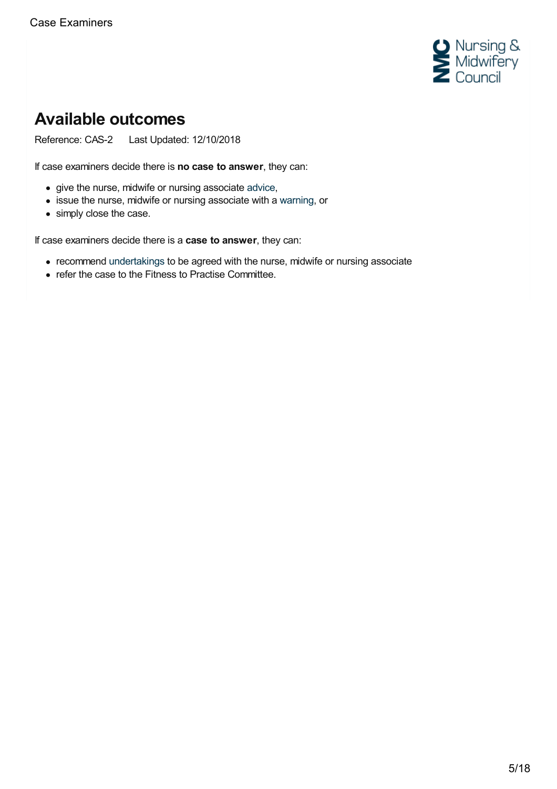

# <span id="page-4-0"></span>**Available outcomes**

Reference: CAS-2 Last Updated: 12/10/2018

If case examiners decide there is **no case to answer**, they can:

- give the nurse, midwife or nursing associate [advice](https://www.nmc.org.uk/ftp-library/case-examiners/available-outcomes/advice/),
- issue the nurse, midwife or nursing associate with a [warning](https://www.nmc.org.uk/ftp-library/case-examiners/available-outcomes/warnings/), or
- simply close the case.

If case examiners decide there is a **case to answer**, they can:

- recommend [undertakings](https://www.nmc.org.uk/ftp-library/case-examiners/available-outcomes/undertakings/) to be agreed with the nurse, midwife or nursing associate
- refer the case to the Fitness to Practise Committee.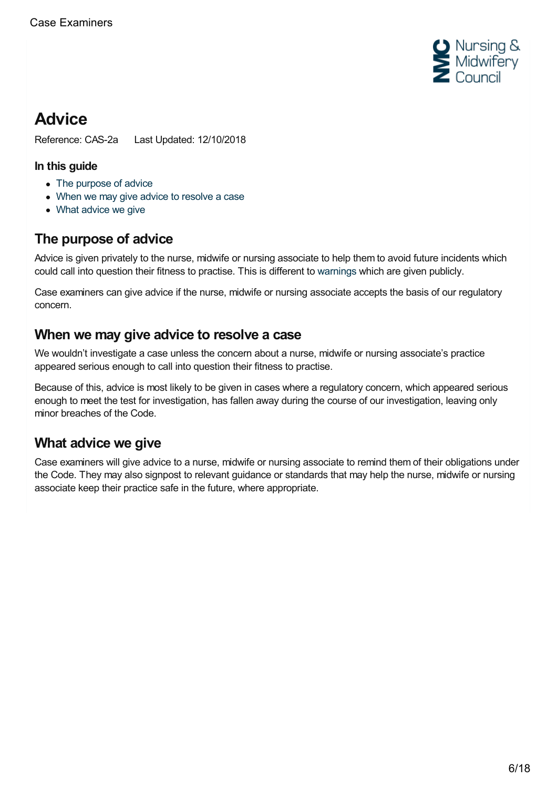

# <span id="page-5-0"></span>**Advice**

Reference: CAS-2a Last Updated: 12/10/2018

### **In this guide**

- The [purpose](#page-5-1) of advice
- When we may give advice to [resolve](#page-5-2) a case
- What [advice](#page-5-3) we give

## <span id="page-5-1"></span>**The purpose of advice**

Advice is given privately to the nurse, midwife or nursing associate to help them to avoid future incidents which could call into question their fitness to practise. This is different to [warnings](https://www.nmc.org.uk/ftp-library/case-examiners/available-outcomes/warnings/) which are given publicly.

Case examiners can give advice if the nurse, midwife or nursing associate accepts the basis of our regulatory concern.

## <span id="page-5-2"></span>**When we may give advice to resolve a case**

We wouldn't investigate a case unless the concern about a nurse, midwife or nursing associate's practice appeared serious enough to call into question their fitness to practise.

Because of this, advice is most likely to be given in cases where a regulatory concern, which appeared serious enough to meet the test for investigation, has fallen away during the course of our investigation, leaving only minor breaches of the Code.

## <span id="page-5-3"></span>**What advice we give**

Case examiners will give advice to a nurse, midwife or nursing associate to remind them of their obligations under the Code. They may also signpost to relevant guidance or standards that may help the nurse, midwife or nursing associate keep their practice safe in the future, where appropriate.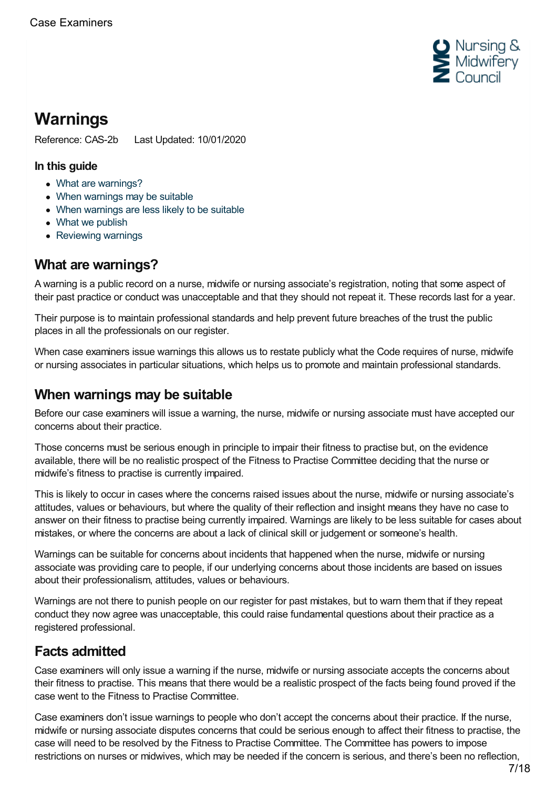

# <span id="page-6-0"></span>**Warnings**

Reference: CAS-2b Last Updated: 10/01/2020

### **In this guide**

- What are [warnings?](#page-6-1)
- When [warnings](#page-6-2) may be suitable
- When [warnings](#page-7-0) are less likely to be suitable
- What we [publish](#page-7-1)
- [Reviewing](#page-8-0) warnings

## <span id="page-6-1"></span>**What are warnings?**

A warning is a public record on a nurse, midwife or nursing associate's registration, noting that some aspect of their past practice or conduct was unacceptable and that they should not repeat it. These records last for a year.

Their purpose is to maintain professional standards and help prevent future breaches of the trust the public places in all the professionals on our register.

When case examiners issue warnings this allows us to restate publicly what the Code requires of nurse, midwife or nursing associates in particular situations, which helps us to promote and maintain professional standards.

## <span id="page-6-2"></span>**When warnings may be suitable**

Before our case examiners will issue a warning, the nurse, midwife or nursing associate must have accepted our concerns about their practice.

Those concerns must be serious enough in principle to impair their fitness to practise but, on the evidence available, there will be no realistic prospect of the Fitness to Practise Committee deciding that the nurse or midwife's fitness to practise is currently impaired.

This is likely to occur in cases where the concerns raised issues about the nurse, midwife or nursing associate's attitudes, values or behaviours, but where the quality of their reflection and insight means they have no case to answer on their fitness to practise being currently impaired. Warnings are likely to be less suitable for cases about mistakes, or where the concerns are about a lack of clinical skill or judgement or someone's health.

Warnings can be suitable for concerns about incidents that happened when the nurse, midwife or nursing associate was providing care to people, if our underlying concerns about those incidents are based on issues about their professionalism, attitudes, values or behaviours.

Warnings are not there to punish people on our register for past mistakes, but to warn them that if they repeat conduct they now agree was unacceptable, this could raise fundamental questions about their practice as a registered professional.

## **Facts admitted**

Case examiners will only issue a warning if the nurse, midwife or nursing associate accepts the concerns about their fitness to practise. This means that there would be a realistic prospect of the facts being found proved if the case went to the Fitness to Practise Committee.

Case examiners don't issue warnings to people who don't accept the concerns about their practice. If the nurse, midwife or nursing associate disputes concerns that could be serious enough to affect their fitness to practise, the case will need to be resolved by the Fitness to Practise Committee. The Committee has powers to impose restrictions on nurses or midwives, which may be needed if the concern is serious, and there's been no reflection,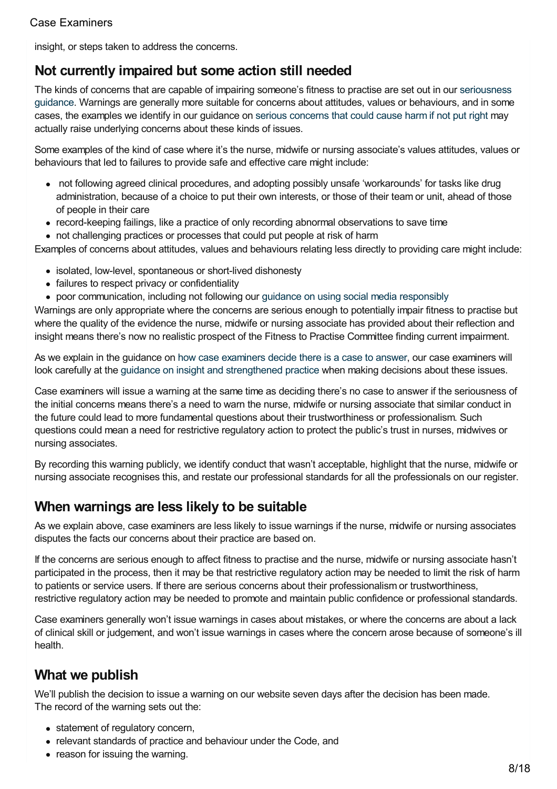insight, or steps taken to address the concerns.

## **Not currently impaired but some action still needed**

The kinds of concerns that are capable of impairing someone's fitness to practise are set out in our [seriousness](https://www.nmc.org.uk/ftp-library/understanding-fitness-to-practise/how-we-determine-seriousness/) guidance. Warnings are generally more suitable for concerns about attitudes, values or behaviours, and in some cases, the examples we identify in our guidance on serious [concerns](https://www.nmc.org.uk/ftp-library/understanding-fitness-to-practise/how-we-determine-seriousness/serious-concerns-harm/) that could cause harm if not put right may actually raise underlying concerns about these kinds of issues.

Some examples of the kind of case where it's the nurse, midwife or nursing associate's values attitudes, values or behaviours that led to failures to provide safe and effective care might include:

- not following agreed clinical procedures, and adopting possibly unsafe 'workarounds' for tasks like drug administration, because of a choice to put their own interests, or those of their team or unit, ahead of those of people in their care
- record-keeping failings, like a practice of only recording abnormal observations to save time
- not challenging practices or processes that could put people at risk of harm

Examples of concerns about attitudes, values and behaviours relating less directly to providing care might include:

- isolated, low-level, spontaneous or short-lived dishonesty
- failures to respect privacy or confidentiality
- poor communication, including not following our guidance on using social media [responsibly](https://www.nmc.org.uk/standards/guidance/social-media-guidance/)

Warnings are only appropriate where the concerns are serious enough to potentially impair fitness to practise but where the quality of the evidence the nurse, midwife or nursing associate has provided about their reflection and insight means there's now no realistic prospect of the Fitness to Practise Committee finding current impairment.

As we explain in the guidance on how case [examiners](https://www.nmc.org.uk/ftp-library/case-examiners/how-case-examiners-decide-there-is-a-case-to-answer/) decide there is a case to answer, our case examiners will look carefully at the guidance on insight and [strengthened](https://www.nmc.org.uk/ftp-library/understanding-fitness-to-practise/insight-and-strengthened-practice/) practice when making decisions about these issues.

Case examiners will issue a warning at the same time as deciding there's no case to answer if the seriousness of the initial concerns means there's a need to warn the nurse, midwife or nursing associate that similar conduct in the future could lead to more fundamental questions about their trustworthiness or professionalism. Such questions could mean a need for restrictive regulatory action to protect the public's trust in nurses, midwives or nursing associates.

By recording this warning publicly, we identify conduct that wasn't acceptable, highlight that the nurse, midwife or nursing associate recognises this, and restate our professional standards for all the professionals on our register.

## <span id="page-7-0"></span>**When warnings are less likely to be suitable**

As we explain above, case examiners are less likely to issue warnings if the nurse, midwife or nursing associates disputes the facts our concerns about their practice are based on.

If the concerns are serious enough to affect fitness to practise and the nurse, midwife or nursing associate hasn't participated in the process, then it may be that restrictive regulatory action may be needed to limit the risk of harm to patients or service users. If there are serious concerns about their professionalism or trustworthiness, restrictive regulatory action may be needed to promote and maintain public confidence or professional standards.

Case examiners generally won't issue warnings in cases about mistakes, or where the concerns are about a lack of clinical skill or judgement, and won't issue warnings in cases where the concern arose because of someone's ill health.

## <span id="page-7-1"></span>**What we publish**

We'll publish the decision to issue a warning on our website seven days after the decision has been made. The record of the warning sets out the:

- statement of regulatory concern,
- relevant standards of practice and behaviour under the Code, and
- reason for issuing the warning.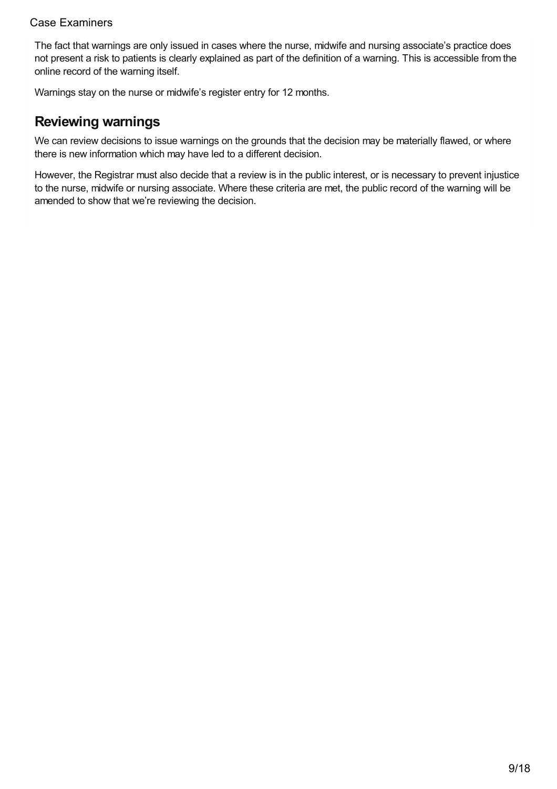The fact that warnings are only issued in cases where the nurse, midwife and nursing associate's practice does not present a risk to patients is clearly explained as part of the definition of a warning. This is accessible from the online record of the warning itself.

Warnings stay on the nurse or midwife's register entry for 12 months.

## <span id="page-8-0"></span>**Reviewing warnings**

We can review decisions to issue warnings on the grounds that the decision may be materially flawed, or where there is new information which may have led to a different decision.

However, the Registrar must also decide that a review is in the public interest, or is necessary to prevent injustice to the nurse, midwife or nursing associate. Where these criteria are met, the public record of the warning will be amended to show that we're reviewing the decision.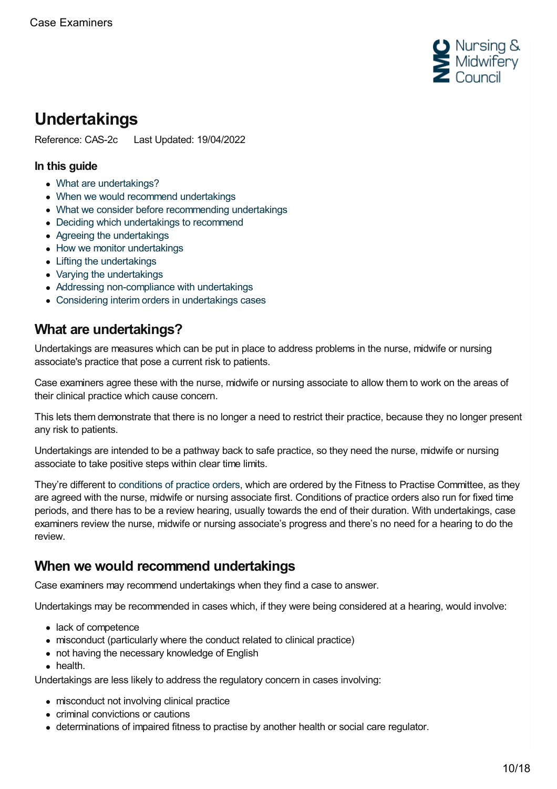

# <span id="page-9-0"></span>**Undertakings**

Reference: CAS-2c Last Updated: 19/04/2022

### **In this guide**

- What are [undertakings?](#page-9-1)
- When we would recommend [undertakings](#page-9-2)
- What we consider before [recommending](#page-10-0) undertakings
- Deciding which [undertakings](#page-10-1) to recommend
- Agreeing the [undertakings](#page-10-2)
- How we monitor [undertakings](#page-11-0)
- Lifting the [undertakings](#page-11-1)
- Varying the [undertakings](#page-11-2)
- Addressing [non-compliance](#page-12-0) with undertakings
- Considering interim orders in [undertakings](#page-13-0) cases

## <span id="page-9-1"></span>**What are undertakings?**

Undertakings are measures which can be put in place to address problems in the nurse, midwife or nursing associate's practice that pose a current risk to patients.

Case examiners agree these with the nurse, midwife or nursing associate to allow them to work on the areas of their clinical practice which cause concern.

This lets them demonstrate that there is no longer a need to restrict their practice, because they no longer present any risk to patients.

Undertakings are intended to be a pathway back to safe practice, so they need the nurse, midwife or nursing associate to take positive steps within clear time limits.

They're different to [conditions](https://www.nmc.org.uk/ftp-library/sanctions/the-sanctions/conditions-of-practice-order/) of practice orders, which are ordered by the Fitness to Practise Committee, as they are agreed with the nurse, midwife or nursing associate first. Conditions of practice orders also run for fixed time periods, and there has to be a review hearing, usually towards the end of their duration. With undertakings, case examiners review the nurse, midwife or nursing associate's progress and there's no need for a hearing to do the review.

## <span id="page-9-2"></span>**When we would recommend undertakings**

Case examiners may recommend undertakings when they find a case to answer.

Undertakings may be recommended in cases which, if they were being considered at a hearing, would involve:

- lack of competence
- misconduct (particularly where the conduct related to clinical practice)
- not having the necessary knowledge of English
- health.

Undertakings are less likely to address the regulatory concern in cases involving:

- misconduct not involving clinical practice
- criminal convictions or cautions
- determinations of impaired fitness to practise by another health or social care regulator.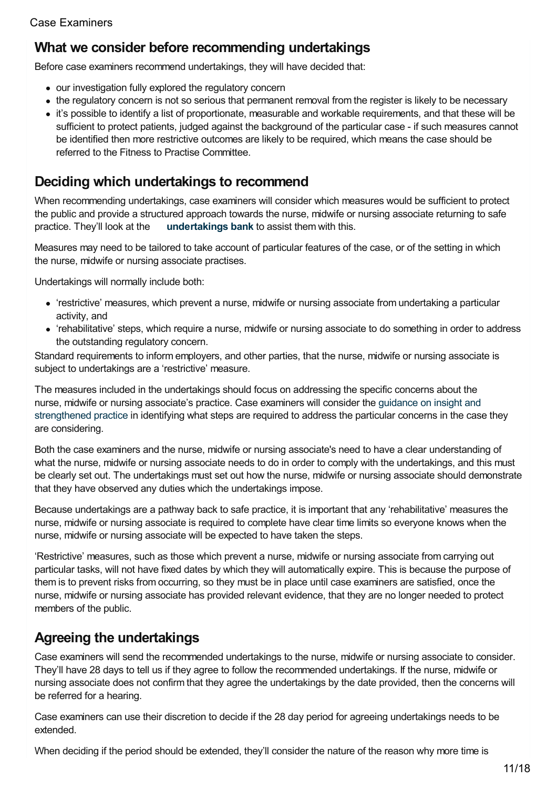## <span id="page-10-0"></span>**What we consider before recommending undertakings**

Before case examiners recommend undertakings, they will have decided that:

- our investigation fully explored the regulatory concern
- the regulatory concern is not so serious that permanent removal from the register is likely to be necessary
- it's possible to identify a list of proportionate, measurable and workable requirements, and that these will be sufficient to protect patients, judged against the background of the particular case - if such measures cannot be identified then more restrictive outcomes are likely to be required, which means the case should be referred to the Fitness to Practise Committee.

## <span id="page-10-1"></span>**Deciding which undertakings to recommend**

When recommending undertakings, case examiners will consider which measures would be sufficient to protect the public and provide a structured approach towards the nurse, midwife or nursing associate returning to safe practice. They'll look at the **[undertakings](https://www.nmc.org.uk/globalassets/sitedocuments/ftp_information/undertakings-bank-20190913.pdf) bank** to assist them with this.

Measures may need to be tailored to take account of particular features of the case, or of the setting in which the nurse, midwife or nursing associate practises.

Undertakings will normally include both:

- 'restrictive' measures, which prevent a nurse, midwife or nursing associate from undertaking a particular activity, and
- 'rehabilitative' steps, which require a nurse, midwife or nursing associate to do something in order to address the outstanding regulatory concern.

Standard requirements to inform employers, and other parties, that the nurse, midwife or nursing associate is subject to undertakings are a 'restrictive' measure.

The measures included in the undertakings should focus on addressing the specific concerns about the nurse, midwife or nursing associate's practice. Case examiners will consider the guidance on insight and [strengthened](https://www.nmc.org.uk/ftp-library/understanding-fitness-to-practise/insight-and-strengthened-practice/) practice in identifying what steps are required to address the particular concerns in the case they are considering.

Both the case examiners and the nurse, midwife or nursing associate's need to have a clear understanding of what the nurse, midwife or nursing associate needs to do in order to comply with the undertakings, and this must be clearly set out. The undertakings must set out how the nurse, midwife or nursing associate should demonstrate that they have observed any duties which the undertakings impose.

Because undertakings are a pathway back to safe practice, it is important that any 'rehabilitative' measures the nurse, midwife or nursing associate is required to complete have clear time limits so everyone knows when the nurse, midwife or nursing associate will be expected to have taken the steps.

'Restrictive' measures, such as those which prevent a nurse, midwife or nursing associate from carrying out particular tasks, will not have fixed dates by which they will automatically expire. This is because the purpose of them is to prevent risks from occurring, so they must be in place until case examiners are satisfied, once the nurse, midwife or nursing associate has provided relevant evidence, that they are no longer needed to protect members of the public.

## <span id="page-10-2"></span>**Agreeing the undertakings**

Case examiners will send the recommended undertakings to the nurse, midwife or nursing associate to consider. They'll have 28 days to tell us if they agree to follow the recommended undertakings. If the nurse, midwife or nursing associate does not confirm that they agree the undertakings by the date provided, then the concerns will be referred for a hearing.

Case examiners can use their discretion to decide if the 28 day period for agreeing undertakings needs to be extended.

When deciding if the period should be extended, they'll consider the nature of the reason why more time is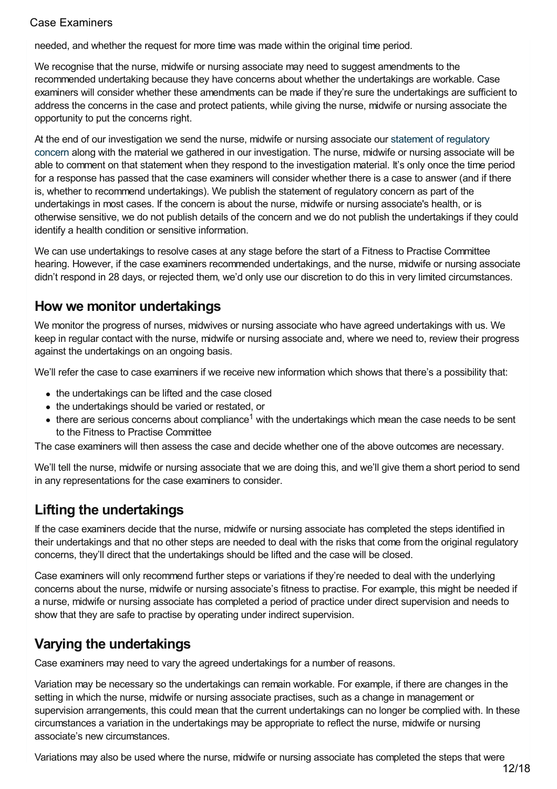needed, and whether the request for more time was made within the original time period.

We recognise that the nurse, midwife or nursing associate may need to suggest amendments to the recommended undertaking because they have concerns about whether the undertakings are workable. Case examiners will consider whether these amendments can be made if they're sure the undertakings are sufficient to address the concerns in the case and protect patients, while giving the nurse, midwife or nursing associate the opportunity to put the concerns right.

At the end of our [investigation](https://www.nmc.org.uk/ftp-library/screening/regulatory-concerns/identifying-and-explaining-regulatory-concerns/) we send the nurse, midwife or nursing associate our statement of regulatory concern along with the material we gathered in our investigation. The nurse, midwife or nursing associate will be able to comment on that statement when they respond to the investigation material. It's only once the time period for a response has passed that the case examiners will consider whether there is a case to answer (and if there is, whether to recommend undertakings). We publish the statement of regulatory concern as part of the undertakings in most cases. If the concern is about the nurse, midwife or nursing associate's health, or is otherwise sensitive, we do not publish details of the concern and we do not publish the undertakings if they could identify a health condition or sensitive information.

We can use undertakings to resolve cases at any stage before the start of a Fitness to Practise Committee hearing. However, if the case examiners recommended undertakings, and the nurse, midwife or nursing associate didn't respond in 28 days, or rejected them, we'd only use our discretion to do this in very limited circumstances.

## <span id="page-11-0"></span>**How we monitor undertakings**

We monitor the progress of nurses, midwives or nursing associate who have agreed undertakings with us. We keep in regular contact with the nurse, midwife or nursing associate and, where we need to, review their progress against the undertakings on an ongoing basis.

We'll refer the case to case examiners if we receive new information which shows that there's a possibility that:

- the undertakings can be lifted and the case closed
- the undertakings should be varied or restated, or
- there are serious concerns about compliance<sup>1</sup> with the undertakings which mean the case needs to be sent to the Fitness to Practise Committee

The case examiners will then assess the case and decide whether one of the above outcomes are necessary.

We'll tell the nurse, midwife or nursing associate that we are doing this, and we'll give them a short period to send in any representations for the case examiners to consider.

## <span id="page-11-1"></span>**Lifting the undertakings**

If the case examiners decide that the nurse, midwife or nursing associate has completed the steps identified in their undertakings and that no other steps are needed to deal with the risks that come from the original regulatory concerns, they'll direct that the undertakings should be lifted and the case will be closed.

Case examiners will only recommend further steps or variations if they're needed to deal with the underlying concerns about the nurse, midwife or nursing associate's fitness to practise. For example, this might be needed if a nurse, midwife or nursing associate has completed a period of practice under direct supervision and needs to show that they are safe to practise by operating under indirect supervision.

## <span id="page-11-2"></span>**Varying the undertakings**

Case examiners may need to vary the agreed undertakings for a number of reasons.

Variation may be necessary so the undertakings can remain workable. For example, if there are changes in the setting in which the nurse, midwife or nursing associate practises, such as a change in management or supervision arrangements, this could mean that the current undertakings can no longer be complied with. In these circumstances a variation in the undertakings may be appropriate to reflect the nurse, midwife or nursing associate's new circumstances.

Variations may also be used where the nurse, midwife or nursing associate has completed the steps that were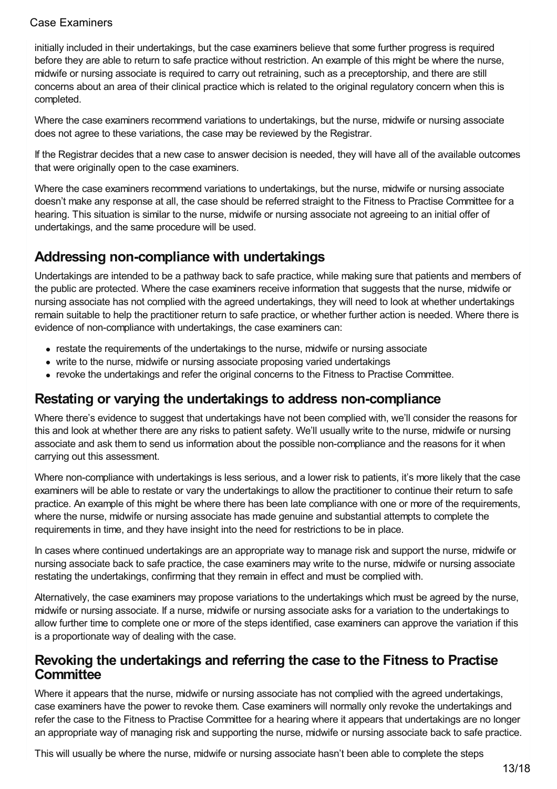initially included in their undertakings, but the case examiners believe that some further progress is required before they are able to return to safe practice without restriction. An example of this might be where the nurse, midwife or nursing associate is required to carry out retraining, such as a preceptorship, and there are still concerns about an area of their clinical practice which is related to the original regulatory concern when this is completed.

Where the case examiners recommend variations to undertakings, but the nurse, midwife or nursing associate does not agree to these variations, the case may be reviewed by the Registrar.

If the Registrar decides that a new case to answer decision is needed, they will have all of the available outcomes that were originally open to the case examiners.

Where the case examiners recommend variations to undertakings, but the nurse, midwife or nursing associate doesn't make any response at all, the case should be referred straight to the Fitness to Practise Committee for a hearing. This situation is similar to the nurse, midwife or nursing associate not agreeing to an initial offer of undertakings, and the same procedure will be used.

## <span id="page-12-0"></span>**Addressing non-compliance with undertakings**

Undertakings are intended to be a pathway back to safe practice, while making sure that patients and members of the public are protected. Where the case examiners receive information that suggests that the nurse, midwife or nursing associate has not complied with the agreed undertakings, they will need to look at whether undertakings remain suitable to help the practitioner return to safe practice, or whether further action is needed. Where there is evidence of non-compliance with undertakings, the case examiners can:

- restate the requirements of the undertakings to the nurse, midwife or nursing associate
- write to the nurse, midwife or nursing associate proposing varied undertakings
- revoke the undertakings and refer the original concerns to the Fitness to Practise Committee.

## **Restating or varying the undertakings to address non-compliance**

Where there's evidence to suggest that undertakings have not been complied with, we'll consider the reasons for this and look at whether there are any risks to patient safety. We'll usually write to the nurse, midwife or nursing associate and ask them to send us information about the possible non-compliance and the reasons for it when carrying out this assessment.

Where non-compliance with undertakings is less serious, and a lower risk to patients, it's more likely that the case examiners will be able to restate or vary the undertakings to allow the practitioner to continue their return to safe practice. An example of this might be where there has been late compliance with one or more of the requirements, where the nurse, midwife or nursing associate has made genuine and substantial attempts to complete the requirements in time, and they have insight into the need for restrictions to be in place.

In cases where continued undertakings are an appropriate way to manage risk and support the nurse, midwife or nursing associate back to safe practice, the case examiners may write to the nurse, midwife or nursing associate restating the undertakings, confirming that they remain in effect and must be complied with.

Alternatively, the case examiners may propose variations to the undertakings which must be agreed by the nurse, midwife or nursing associate. If a nurse, midwife or nursing associate asks for a variation to the undertakings to allow further time to complete one or more of the steps identified, case examiners can approve the variation if this is a proportionate way of dealing with the case.

## **Revoking the undertakings and referring the case to the Fitness to Practise Committee**

Where it appears that the nurse, midwife or nursing associate has not complied with the agreed undertakings, case examiners have the power to revoke them. Case examiners will normally only revoke the undertakings and refer the case to the Fitness to Practise Committee for a hearing where it appears that undertakings are no longer an appropriate way of managing risk and supporting the nurse, midwife or nursing associate back to safe practice.

This will usually be where the nurse, midwife or nursing associate hasn't been able to complete the steps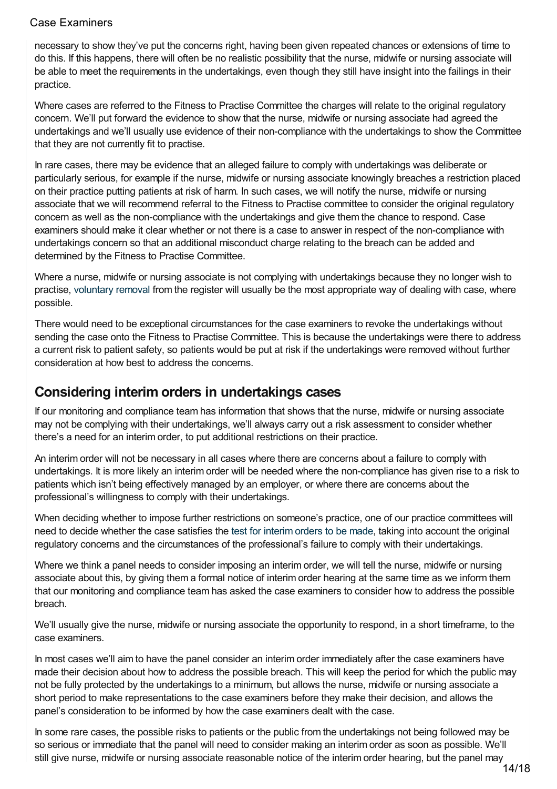necessary to show they've put the concerns right, having been given repeated chances or extensions of time to do this. If this happens, there will often be no realistic possibility that the nurse, midwife or nursing associate will be able to meet the requirements in the undertakings, even though they still have insight into the failings in their practice.

Where cases are referred to the Fitness to Practise Committee the charges will relate to the original regulatory concern. We'll put forward the evidence to show that the nurse, midwife or nursing associate had agreed the undertakings and we'll usually use evidence of their non-compliance with the undertakings to show the Committee that they are not currently fit to practise.

In rare cases, there may be evidence that an alleged failure to comply with undertakings was deliberate or particularly serious, for example if the nurse, midwife or nursing associate knowingly breaches a restriction placed on their practice putting patients at risk of harm. In such cases, we will notify the nurse, midwife or nursing associate that we will recommend referral to the Fitness to Practise committee to consider the original regulatory concern as well as the non-compliance with the undertakings and give them the chance to respond. Case examiners should make it clear whether or not there is a case to answer in respect of the non-compliance with undertakings concern so that an additional misconduct charge relating to the breach can be added and determined by the Fitness to Practise Committee.

Where a nurse, midwife or nursing associate is not complying with undertakings because they no longer wish to practise, [voluntary](https://www.nmc.org.uk/ftp-library/case-management/voluntary-removal/how-does-the-voluntary-removal-process-work/) removal from the register will usually be the most appropriate way of dealing with case, where possible.

There would need to be exceptional circumstances for the case examiners to revoke the undertakings without sending the case onto the Fitness to Practise Committee. This is because the undertakings were there to address a current risk to patient safety, so patients would be put at risk if the undertakings were removed without further consideration at how best to address the concerns.

### <span id="page-13-0"></span>**Considering interim orders in undertakings cases**

If our monitoring and compliance team has information that shows that the nurse, midwife or nursing associate may not be complying with their undertakings, we'll always carry out a risk assessment to consider whether there's a need for an interim order, to put additional restrictions on their practice.

An interim order will not be necessary in all cases where there are concerns about a failure to comply with undertakings. It is more likely an interim order will be needed where the non-compliance has given rise to a risk to patients which isn't being effectively managed by an employer, or where there are concerns about the professional's willingness to comply with their undertakings.

When deciding whether to impose further restrictions on someone's practice, one of our practice committees will need to decide whether the case satisfies the test for [interim](https://www.nmc.org.uk/ftp-library/interim-orders/applying-the-interim-order-test/) orders to be made, taking into account the original regulatory concerns and the circumstances of the professional's failure to comply with their undertakings.

Where we think a panel needs to consider imposing an interim order, we will tell the nurse, midwife or nursing associate about this, by giving them a formal notice of interim order hearing at the same time as we inform them that our monitoring and compliance team has asked the case examiners to consider how to address the possible breach.

We'll usually give the nurse, midwife or nursing associate the opportunity to respond, in a short timeframe, to the case examiners.

In most cases we'll aim to have the panel consider an interim order immediately after the case examiners have made their decision about how to address the possible breach. This will keep the period for which the public may not be fully protected by the undertakings to a minimum, but allows the nurse, midwife or nursing associate a short period to make representations to the case examiners before they make their decision, and allows the panel's consideration to be informed by how the case examiners dealt with the case.

In some rare cases, the possible risks to patients or the public from the undertakings not being followed may be so serious or immediate that the panel will need to consider making an interim order as soon as possible. We'll still give nurse, midwife or nursing associate reasonable notice of the interim order hearing, but the panel may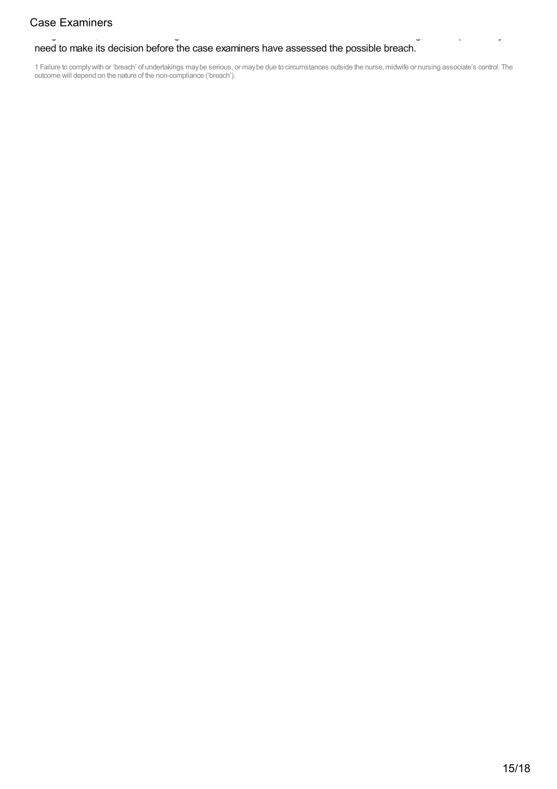#### need to make its decision before the case examiners have assessed the possible breach.

1 Failure to complywith or 'breach' of undertakings maybe serious, or maybe due to circumstances outside the nurse, midwife or nursing associate's control. The **Case Examiners**<br> **need to make its decision before the case exam**<br>
1 Failure to comply with or 'breach' of undertakings may be serious, controlled will depend on the nature of the non-compliance ('breach').

still give nurse, midwife or nursing associate reasonable notice of the interim order hearing, but the panel may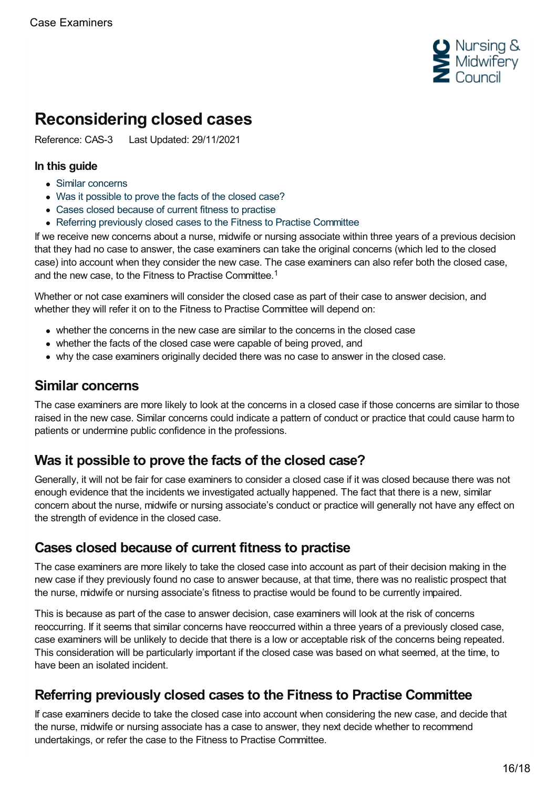

# <span id="page-15-0"></span>**Reconsidering closed cases**

Reference: CAS-3 Last Updated: 29/11/2021

### **In this guide**

- Similar [concerns](#page-15-1)
- Was it [possible](#page-15-2) to prove the facts of the closed case?
- Cases closed [because](#page-15-3) of current fitness to practise
- Referring previously closed cases to the Fitness to Practise [Committee](#page-15-4)

If we receive new concerns about a nurse, midwife or nursing associate within three years of a previous decision that they had no case to answer, the case examiners can take the original concerns (which led to the closed case) into account when they consider the new case. The case examiners can also refer both the closed case, and the new case, to the Fitness to Practise Committee. 1

Whether or not case examiners will consider the closed case as part of their case to answer decision, and whether they will refer it on to the Fitness to Practise Committee will depend on:

- whether the concerns in the new case are similar to the concerns in the closed case
- whether the facts of the closed case were capable of being proved, and
- why the case examiners originally decided there was no case to answer in the closed case.

### <span id="page-15-1"></span>**Similar concerns**

The case examiners are more likely to look at the concerns in a closed case if those concerns are similar to those raised in the new case. Similar concerns could indicate a pattern of conduct or practice that could cause harm to patients or undermine public confidence in the professions.

## <span id="page-15-2"></span>**Was it possible to prove the facts of the closed case?**

Generally, it will not be fair for case examiners to consider a closed case if it was closed because there was not enough evidence that the incidents we investigated actually happened. The fact that there is a new, similar concern about the nurse, midwife or nursing associate's conduct or practice will generally not have any effect on the strength of evidence in the closed case.

## <span id="page-15-3"></span>**Cases closed because of current fitness to practise**

The case examiners are more likely to take the closed case into account as part of their decision making in the new case if they previously found no case to answer because, at that time, there was no realistic prospect that the nurse, midwife or nursing associate's fitness to practise would be found to be currently impaired.

This is because as part of the case to answer decision, case examiners will look at the risk of concerns reoccurring. If it seems that similar concerns have reoccurred within a three years of a previously closed case, case examiners will be unlikely to decide that there is a low or acceptable risk of the concerns being repeated. This consideration will be particularly important if the closed case was based on what seemed, at the time, to have been an isolated incident.

## <span id="page-15-4"></span>**Referring previously closed cases to the Fitness to Practise Committee**

If case examiners decide to take the closed case into account when considering the new case, and decide that the nurse, midwife or nursing associate has a case to answer, they next decide whether to recommend undertakings, or refer the case to the Fitness to Practise Committee.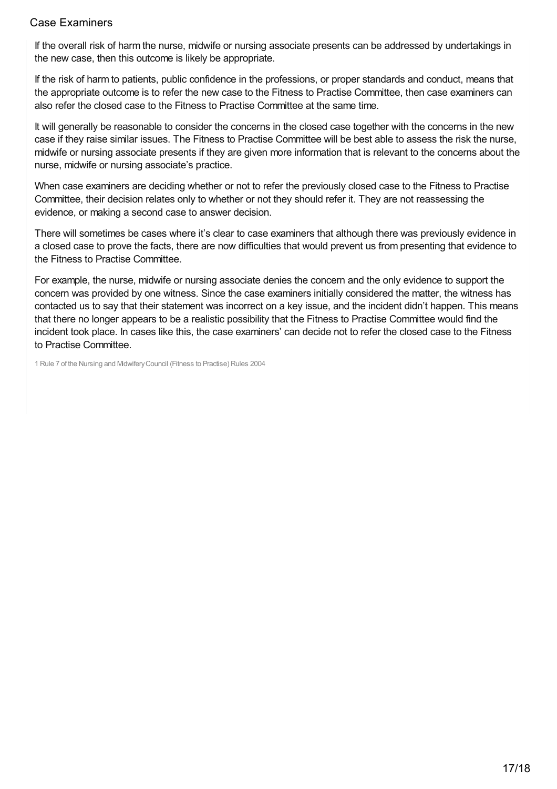If the overall risk of harm the nurse, midwife or nursing associate presents can be addressed by undertakings in the new case, then this outcome is likely be appropriate.

If the risk of harm to patients, public confidence in the professions, or proper standards and conduct, means that the appropriate outcome is to refer the new case to the Fitness to Practise Committee, then case examiners can also refer the closed case to the Fitness to Practise Committee at the same time.

It will generally be reasonable to consider the concerns in the closed case together with the concerns in the new case if they raise similar issues. The Fitness to Practise Committee will be best able to assess the risk the nurse, midwife or nursing associate presents if they are given more information that is relevant to the concerns about the nurse, midwife or nursing associate's practice.

When case examiners are deciding whether or not to refer the previously closed case to the Fitness to Practise Committee, their decision relates only to whether or not they should refer it. They are not reassessing the evidence, or making a second case to answer decision.

There will sometimes be cases where it's clear to case examiners that although there was previously evidence in a closed case to prove the facts, there are now difficulties that would prevent us from presenting that evidence to the Fitness to Practise Committee.

For example, the nurse, midwife or nursing associate denies the concern and the only evidence to support the concern was provided by one witness. Since the case examiners initially considered the matter, the witness has contacted us to say that their statement was incorrect on a key issue, and the incident didn't happen. This means that there no longer appears to be a realistic possibility that the Fitness to Practise Committee would find the incident took place. In cases like this, the case examiners' can decide not to refer the closed case to the Fitness to Practise Committee.

1 Rule 7 of the Nursing and MidwiferyCouncil (Fitness to Practise) Rules 2004